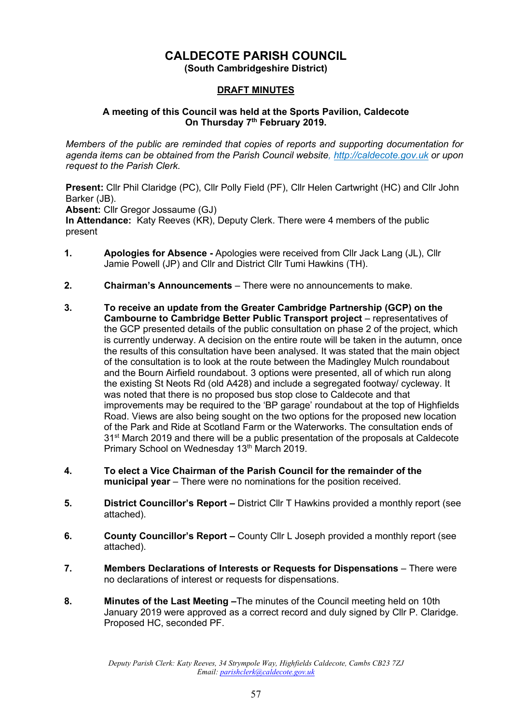# **CALDECOTE PARISH COUNCIL**

**(South Cambridgeshire District)**

#### **DRAFT MINUTES**

#### **A meeting of this Council was held at the Sports Pavilion, Caldecote On Thursday 7 th February 2019.**

*Members of the public are reminded that copies of reports and supporting documentation for agenda items can be obtained from the Parish Council website, [http://caldecote.gov.uk](http://caldecote.gov.uk/) or upon request to the Parish Clerk.*

**Present:** Cllr Phil Claridge (PC), Cllr Polly Field (PF), Cllr Helen Cartwright (HC) and Cllr John Barker (JB).

**Absent:** Cllr Gregor Jossaume (GJ)

**In Attendance:** Katy Reeves (KR), Deputy Clerk. There were 4 members of the public present

- **1. Apologies for Absence -** Apologies were received from Cllr Jack Lang (JL), Cllr Jamie Powell (JP) and Cllr and District Cllr Tumi Hawkins (TH).
- **2. Chairman's Announcements** There were no announcements to make.
- **3. To receive an update from the Greater Cambridge Partnership (GCP) on the Cambourne to Cambridge Better Public Transport project** – representatives of the GCP presented details of the public consultation on phase 2 of the project, which is currently underway. A decision on the entire route will be taken in the autumn, once the results of this consultation have been analysed. It was stated that the main object of the consultation is to look at the route between the Madingley Mulch roundabout and the Bourn Airfield roundabout. 3 options were presented, all of which run along the existing St Neots Rd (old A428) and include a segregated footway/ cycleway. It was noted that there is no proposed bus stop close to Caldecote and that improvements may be required to the 'BP garage' roundabout at the top of Highfields Road. Views are also being sought on the two options for the proposed new location of the Park and Ride at Scotland Farm or the Waterworks. The consultation ends of 31<sup>st</sup> March 2019 and there will be a public presentation of the proposals at Caldecote Primary School on Wednesday 13<sup>th</sup> March 2019.
- **4. To elect a Vice Chairman of the Parish Council for the remainder of the municipal year** – There were no nominations for the position received.
- **5. District Councillor's Report –** District Cllr T Hawkins provided a monthly report (see attached).
- **6. County Councillor's Report –** County Cllr L Joseph provided a monthly report (see attached).
- **7. Members Declarations of Interests or Requests for Dispensations** There were no declarations of interest or requests for dispensations.
- **8. Minutes of the Last Meeting –**The minutes of the Council meeting held on 10th January 2019 were approved as a correct record and duly signed by Cllr P. Claridge. Proposed HC, seconded PF.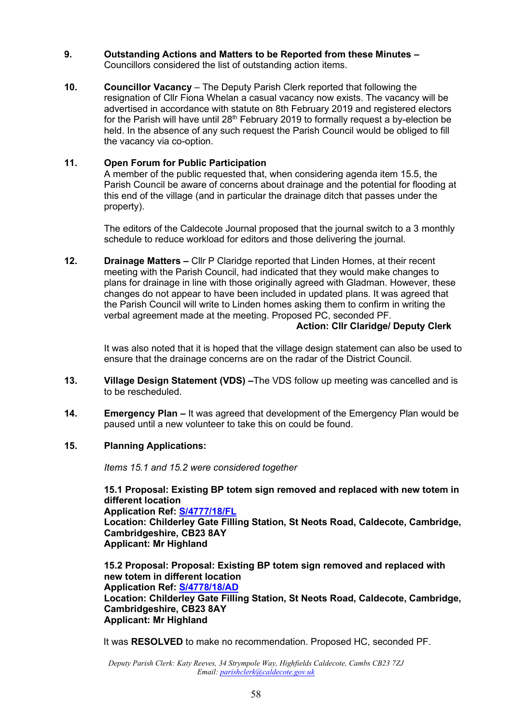#### **9. Outstanding Actions and Matters to be Reported from these Minutes –** Councillors considered the list of outstanding action items.

**10. Councillor Vacancy** – The Deputy Parish Clerk reported that following the resignation of Cllr Fiona Whelan a casual vacancy now exists. The vacancy will be advertised in accordance with statute on 8th February 2019 and registered electors for the Parish will have until 28<sup>th</sup> February 2019 to formally request a by-election be held. In the absence of any such request the Parish Council would be obliged to fill the vacancy via co-option.

#### **11. Open Forum for Public Participation**

A member of the public requested that, when considering agenda item 15.5, the Parish Council be aware of concerns about drainage and the potential for flooding at this end of the village (and in particular the drainage ditch that passes under the property).

The editors of the Caldecote Journal proposed that the journal switch to a 3 monthly schedule to reduce workload for editors and those delivering the journal.

**12. Drainage Matters –** Cllr P Claridge reported that Linden Homes, at their recent meeting with the Parish Council, had indicated that they would make changes to plans for drainage in line with those originally agreed with Gladman. However, these changes do not appear to have been included in updated plans. It was agreed that the Parish Council will write to Linden homes asking them to confirm in writing the verbal agreement made at the meeting. Proposed PC, seconded PF. **Action: Cllr Claridge/ Deputy Clerk**

> It was also noted that it is hoped that the village design statement can also be used to ensure that the drainage concerns are on the radar of the District Council.

- **13. Village Design Statement (VDS) –**The VDS follow up meeting was cancelled and is to be rescheduled.
- **14. Emergency Plan –** It was agreed that development of the Emergency Plan would be paused until a new volunteer to take this on could be found.

#### **15. Planning Applications:**

*Items 15.1 and 15.2 were considered together*

**15.1 Proposal: Existing BP totem sign removed and replaced with new totem in different location Application Ref: [S/4777/18/FL](http://plan.scambs.gov.uk/swiftlg/apas/run/WPHAPPDETAIL.DisplayUrl?theApnID=S/4777/18/FL&backURL=%253Ca%2520href%253Dwphappcriteria.display%253FpaSearchKey%253D1844933%253ESearch%2520Criteria%253C%252Fa%253E%20%3E%20%3Ca%20href%3D%27wphappsearchres.displayResultsURL%3FResultID%3D2428103%2526StartIndex%3D1%2526SortOrder%3Drgndat%3Adesc%2526DispResultsAs%3DWPHAPPSEARCHRES%2526BackURL%3D%253Ca%2520href%253Dwphappcriteria.display%253FpaSearchKey%253D1844933%253ESearch%2520Criteria%253C%252Fa%253E%27%3ESearch%20Results%3C%2Fa%3E) Location: Childerley Gate Filling Station, St Neots Road, Caldecote, Cambridge, Cambridgeshire, CB23 8AY Applicant: Mr Highland**

**15.2 Proposal: Proposal: Existing BP totem sign removed and replaced with new totem in different location Application Ref: [S/4778/18/AD](http://plan.scambs.gov.uk/swiftlg/apas/run/WPHAPPDETAIL.DisplayUrl?theApnID=S/4778/18/AD&backURL=%253Ca%2520href%253Dwphappcriteria.display%253FpaSearchKey%253D1844946%253ESearch%2520Criteria%253C%252Fa%253E%20%3E%20%3Ca%20href%3D%27wphappsearchres.displayResultsURL%3FResultID%3D2428116%2526StartIndex%3D1%2526SortOrder%3Drgndat%3Adesc%2526DispResultsAs%3DWPHAPPSEARCHRES%2526BackURL%3D%253Ca%2520href%253Dwphappcriteria.display%253FpaSearchKey%253D1844946%253ESearch%2520Criteria%253C%252Fa%253E%27%3ESearch%20Results%3C%2Fa%3E) Location: Childerley Gate Filling Station, St Neots Road, Caldecote, Cambridge, Cambridgeshire, CB23 8AY Applicant: Mr Highland**

It was **RESOLVED** to make no recommendation. Proposed HC, seconded PF.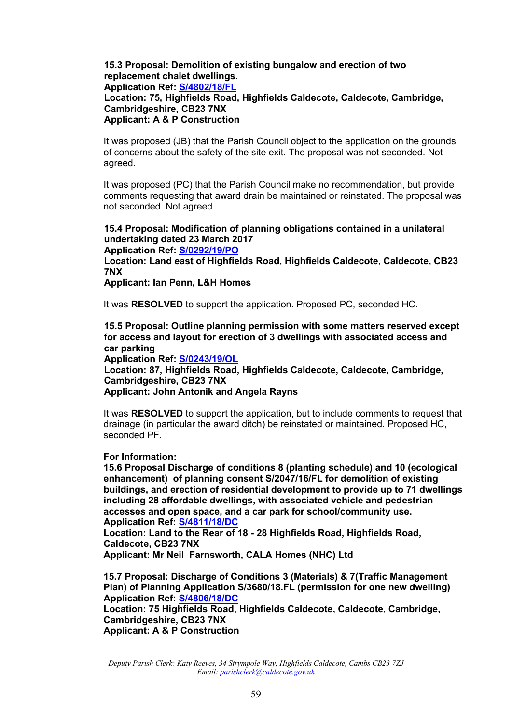# **15.3 Proposal: Demolition of existing bungalow and erection of two replacement chalet dwellings.**

#### **Application Ref: [S/4802/18/FL](http://plan.scambs.gov.uk/swiftlg/apas/run/WPHAPPDETAIL.DisplayUrl?theApnID=S/4802/18/FL&backURL=%253Ca%2520href%253Dwphappcriteria.display%253FpaSearchKey%253D1845092%253ESearch%2520Criteria%253C%252Fa%253E%20%3E%20%3Ca%20href%3D%27wphappsearchres.displayResultsURL%3FResultID%3D2428267%2526StartIndex%3D1%2526SortOrder%3Drgndat%3Adesc%2526DispResultsAs%3DWPHAPPSEARCHRES%2526BackURL%3D%253Ca%2520href%253Dwphappcriteria.display%253FpaSearchKey%253D1845092%253ESearch%2520Criteria%253C%252Fa%253E%27%3ESearch%20Results%3C%2Fa%3E) Location: 75, Highfields Road, Highfields Caldecote, Caldecote, Cambridge, Cambridgeshire, CB23 7NX Applicant: A & P Construction**

It was proposed (JB) that the Parish Council object to the application on the grounds of concerns about the safety of the site exit. The proposal was not seconded. Not agreed.

It was proposed (PC) that the Parish Council make no recommendation, but provide comments requesting that award drain be maintained or reinstated. The proposal was not seconded. Not agreed.

### **15.4 Proposal: Modification of planning obligations contained in a unilateral undertaking dated 23 March 2017**

**Application Ref: [S/0292/19/PO](http://plan.scambs.gov.uk/swiftlg/apas/run/WPHAPPDETAIL.DisplayUrl?theApnID=S/0292/19/PO&backURL=%253Ca%2520href%253Dwphappcriteria.display%253FpaSearchKey%253D1856042%253ESearch%2520Criteria%253C%252Fa%253E%20%3E%20%3Ca%20href%3D%27wphappsearchres.displayResultsURL%3FResultID%3D2440130%2526StartIndex%3D1%2526SortOrder%3Drgndat%3Adesc%2526DispResultsAs%3DWPHAPPSEARCHRES%2526BackURL%3D%253Ca%2520href%253Dwphappcriteria.display%253FpaSearchKey%253D1856042%253ESearch%2520Criteria%253C%252Fa%253E%27%3ESearch%20Results%3C%2Fa%3E)**

**Location: Land east of Highfields Road, Highfields Caldecote, Caldecote, CB23 7NX**

**Applicant: Ian Penn, L&H Homes**

It was **RESOLVED** to support the application. Proposed PC, seconded HC.

**15.5 Proposal: Outline planning permission with some matters reserved except for access and layout for erection of 3 dwellings with associated access and car parking Application Ref: [S/0243/19/OL](http://plan.scambs.gov.uk/swiftlg/apas/run/WPHAPPDETAIL.DisplayUrl?theApnID=S/0243/19/OL&backURL=%253Ca%2520href%253Dwphappcriteria.display%253FpaSearchKey%253D1856047%253ESearch%2520Criteria%253C%252Fa%253E%20%3E%20%3Ca%20href%3D%27wphappsearchres.displayResultsURL%3FResultID%3D2440135%2526StartIndex%3D1%2526SortOrder%3Drgndat%3Adesc%2526DispResultsAs%3DWPHAPPSEARCHRES%2526BackURL%3D%253Ca%2520href%253Dwphappcriteria.display%253FpaSearchKey%253D1856047%253ESearch%2520Criteria%253C%252Fa%253E%27%3ESearch%20Results%3C%2Fa%3E)**

**Location: 87, Highfields Road, Highfields Caldecote, Caldecote, Cambridge, Cambridgeshire, CB23 7NX Applicant: John Antonik and Angela Rayns**

It was **RESOLVED** to support the application, but to include comments to request that drainage (in particular the award ditch) be reinstated or maintained. Proposed HC, seconded PF

#### **For Information:**

**15.6 Proposal Discharge of conditions 8 (planting schedule) and 10 (ecological enhancement) of planning consent S/2047/16/FL for demolition of existing buildings, and erection of residential development to provide up to 71 dwellings including 28 affordable dwellings, with associated vehicle and pedestrian accesses and open space, and a car park for school/community use. Application Ref: [S/4811/18/DC](http://plan.scambs.gov.uk/swiftlg/apas/run/WPHAPPDETAIL.DisplayUrl?theApnID=S/4811/18/DC&backURL=%253Ca%2520href%253Dwphappcriteria.display%253FpaSearchKey%253D1844948%253ESearch%2520Criteria%253C%252Fa%253E%20%3E%20%3Ca%20href%3D%27wphappsearchres.displayResultsURL%3FResultID%3D2428118%2526StartIndex%3D1%2526SortOrder%3Drgndat%3Adesc%2526DispResultsAs%3DWPHAPPSEARCHRES%2526BackURL%3D%253Ca%2520href%253Dwphappcriteria.display%253FpaSearchKey%253D1844948%253ESearch%2520Criteria%253C%252Fa%253E%27%3ESearch%20Results%3C%2Fa%3E)**

**Location: Land to the Rear of 18 - 28 Highfields Road, Highfields Road, Caldecote, CB23 7NX**

**Applicant: Mr Neil Farnsworth, CALA Homes (NHC) Ltd**

**15.7 Proposal: Discharge of Conditions 3 (Materials) & 7(Traffic Management Plan) of Planning Application S/3680/18.FL (permission for one new dwelling) Application Ref: [S/4806/18/DC](http://plan.scambs.gov.uk/swiftlg/apas/run/WPHAPPDETAIL.DisplayUrl?theApnID=S/4806/18/DC&backURL=%253Ca%2520href%253Dwphappcriteria.display%253FpaSearchKey%253D1844949%253ESearch%2520Criteria%253C%252Fa%253E%20%3E%20%3Ca%20href%3D%27wphappsearchres.displayResultsURL%3FResultID%3D2428119%2526StartIndex%3D1%2526SortOrder%3Drgndat%3Adesc%2526DispResultsAs%3DWPHAPPSEARCHRES%2526BackURL%3D%253Ca%2520href%253Dwphappcriteria.display%253FpaSearchKey%253D1844949%253ESearch%2520Criteria%253C%252Fa%253E%27%3ESearch%20Results%3C%2Fa%3E)**

**Location: 75 Highfields Road, Highfields Caldecote, Caldecote, Cambridge, Cambridgeshire, CB23 7NX Applicant: A & P Construction**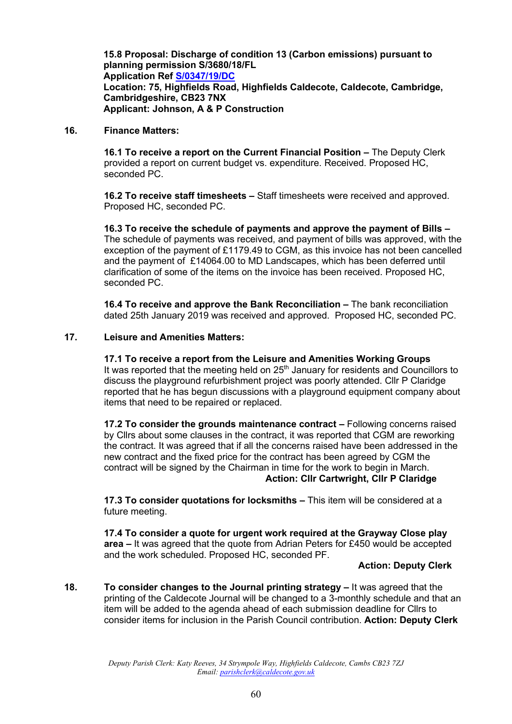**15.8 Proposal: Discharge of condition 13 (Carbon emissions) pursuant to planning permission S/3680/18/FL Application Ref [S/0347/19/DC](http://plan.scambs.gov.uk/swiftlg/apas/run/WPHAPPDETAIL.DisplayUrl?theApnID=S/0347/19/DC&backURL=%253Ca%2520href%253Dwphappcriteria.display%253FpaSearchKey%253D1856053%253ESearch%2520Criteria%253C%252Fa%253E%20%3E%20%3Ca%20href%3D%27wphappsearchres.displayResultsURL%3FResultID%3D2440141%2526StartIndex%3D1%2526SortOrder%3Drgndat%3Adesc%2526DispResultsAs%3DWPHAPPSEARCHRES%2526BackURL%3D%253Ca%2520href%253Dwphappcriteria.display%253FpaSearchKey%253D1856053%253ESearch%2520Criteria%253C%252Fa%253E%27%3ESearch%20Results%3C%2Fa%3E) Location: 75, Highfields Road, Highfields Caldecote, Caldecote, Cambridge, Cambridgeshire, CB23 7NX Applicant: Johnson, A & P Construction**

**16. Finance Matters:**

**16.1 To receive a report on the Current Financial Position –** The Deputy Clerk provided a report on current budget vs. expenditure. Received. Proposed HC, seconded PC.

**16.2 To receive staff timesheets –** Staff timesheets were received and approved. Proposed HC, seconded PC.

**16.3 To receive the schedule of payments and approve the payment of Bills –** The schedule of payments was received, and payment of bills was approved, with the exception of the payment of £1179.49 to CGM, as this invoice has not been cancelled and the payment of £14064.00 to MD Landscapes, which has been deferred until clarification of some of the items on the invoice has been received. Proposed HC, seconded PC.

**16.4 To receive and approve the Bank Reconciliation –** The bank reconciliation dated 25th January 2019 was received and approved. Proposed HC, seconded PC.

#### **17. Leisure and Amenities Matters:**

**17.1 To receive a report from the Leisure and Amenities Working Groups** It was reported that the meeting held on  $25<sup>th</sup>$  January for residents and Councillors to discuss the playground refurbishment project was poorly attended. Cllr P Claridge reported that he has begun discussions with a playground equipment company about items that need to be repaired or replaced.

**17.2 To consider the grounds maintenance contract –** Following concerns raised by Cllrs about some clauses in the contract, it was reported that CGM are reworking the contract. It was agreed that if all the concerns raised have been addressed in the new contract and the fixed price for the contract has been agreed by CGM the contract will be signed by the Chairman in time for the work to begin in March. **Action: Cllr Cartwright, Cllr P Claridge**

**17.3 To consider quotations for locksmiths –** This item will be considered at a future meeting.

**17.4 To consider a quote for urgent work required at the Grayway Close play area –** It was agreed that the quote from Adrian Peters for £450 would be accepted and the work scheduled. Proposed HC, seconded PF.

#### **Action: Deputy Clerk**

**18. To consider changes to the Journal printing strategy –** It was agreed that the printing of the Caldecote Journal will be changed to a 3-monthly schedule and that an item will be added to the agenda ahead of each submission deadline for Cllrs to consider items for inclusion in the Parish Council contribution. **Action: Deputy Clerk**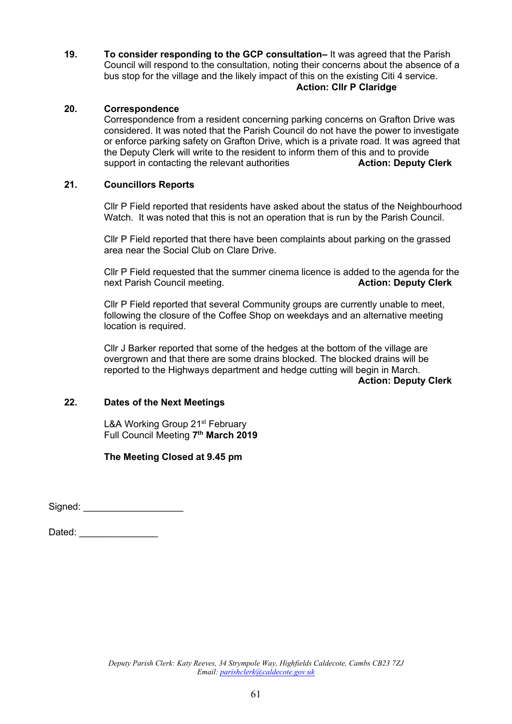**19. To consider responding to the GCP consultation–** It was agreed that the Parish Council will respond to the consultation, noting their concerns about the absence of a bus stop for the village and the likely impact of this on the existing Citi 4 service. **Action: Cllr P Claridge**

#### **20. Correspondence**

Correspondence from a resident concerning parking concerns on Grafton Drive was considered. It was noted that the Parish Council do not have the power to investigate or enforce parking safety on Grafton Drive, which is a private road. It was agreed that the Deputy Clerk will write to the resident to inform them of this and to provide support in contacting the relevant authorities **Action: Deputy Clerk**

#### **21. Councillors Reports**

Cllr P Field reported that residents have asked about the status of the Neighbourhood Watch. It was noted that this is not an operation that is run by the Parish Council.

Cllr P Field reported that there have been complaints about parking on the grassed area near the Social Club on Clare Drive.

Cllr P Field requested that the summer cinema licence is added to the agenda for the next Parish Council meeting. **Action: Deputy Clerk**

Cllr P Field reported that several Community groups are currently unable to meet, following the closure of the Coffee Shop on weekdays and an alternative meeting location is required.

Cllr J Barker reported that some of the hedges at the bottom of the village are overgrown and that there are some drains blocked. The blocked drains will be reported to the Highways department and hedge cutting will begin in March.

**Action: Deputy Clerk**

#### **22. Dates of the Next Meetings**

L&A Working Group 21<sup>st</sup> February Full Council Meeting **7 th March 2019**

**The Meeting Closed at 9.45 pm**

Signed:  $\Box$ 

Dated:  $\Box$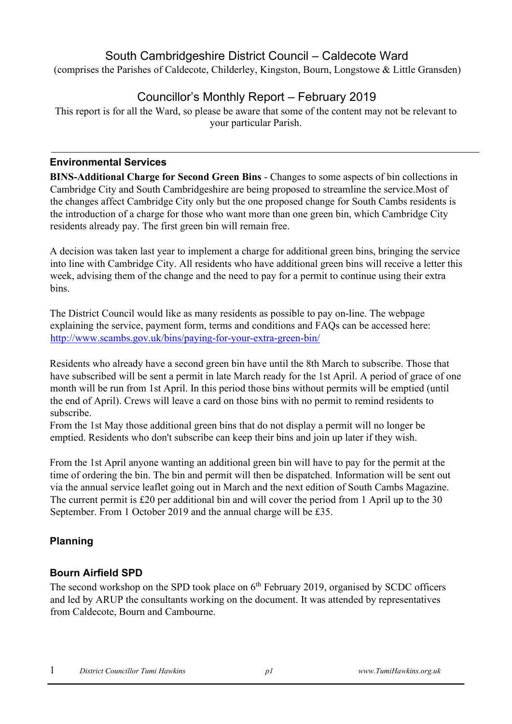# South Cambridgeshire District Council – Caldecote Ward

(comprises the Parishes of Caldecote, Childerley, Kingston, Bourn, Longstowe & Little Gransden)

# Councillor's Monthly Report – February 2019

This report is for all the Ward, so please be aware that some of the content may not be relevant to your particular Parish.

# **Environmental Services**

**BINS-Additional Charge for Second Green Bins** - Changes to some aspects of bin collections in Cambridge City and South Cambridgeshire are being proposed to streamline the service.Most of the changes affect Cambridge City only but the one proposed change for South Cambs residents is the introduction of a charge for those who want more than one green bin, which Cambridge City residents already pay. The first green bin will remain free.

A decision was taken last year to implement a charge for additional green bins, bringing the service into line with Cambridge City. All residents who have additional green bins will receive a letter this week, advising them of the change and the need to pay for a permit to continue using their extra bins.

The District Council would like as many residents as possible to pay on-line. The webpage explaining the service, payment form, terms and conditions and FAQs can be accessed here: <http://www.scambs.gov.uk/bins/paying-for-your-extra-green-bin/>

Residents who already have a second green bin have until the 8th March to subscribe. Those that have subscribed will be sent a permit in late March ready for the 1st April. A period of grace of one month will be run from 1st April. In this period those bins without permits will be emptied (until the end of April). Crews will leave a card on those bins with no permit to remind residents to subscribe.

From the 1st May those additional green bins that do not display a permit will no longer be emptied. Residents who don't subscribe can keep their bins and join up later if they wish.

From the 1st April anyone wanting an additional green bin will have to pay for the permit at the time of ordering the bin. The bin and permit will then be dispatched. Information will be sent out via the annual service leaflet going out in March and the next edition of South Cambs Magazine. The current permit is £20 per additional bin and will cover the period from 1 April up to the 30 September. From 1 October 2019 and the annual charge will be £35.

# **Planning**

# **Bourn Airfield SPD**

The second workshop on the SPD took place on  $6<sup>th</sup>$  February 2019, organised by SCDC officers and led by ARUP the consultants working on the document. It was attended by representatives from Caldecote, Bourn and Cambourne.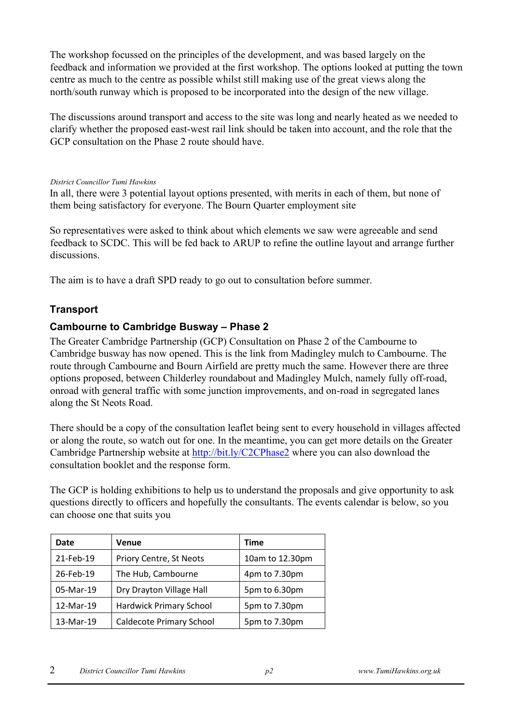The workshop focussed on the principles of the development, and was based largely on the feedback and information we provided at the first workshop. The options looked at putting the town centre as much to the centre as possible whilst still making use of the great views along the north/south runway which is proposed to be incorporated into the design of the new village.

The discussions around transport and access to the site was long and nearly heated as we needed to clarify whether the proposed east-west rail link should be taken into account, and the role that the GCP consultation on the Phase 2 route should have.

#### *District Councillor Tumi Hawkins*

In all, there were 3 potential layout options presented, with merits in each of them, but none of them being satisfactory for everyone. The Bourn Quarter employment site

So representatives were asked to think about which elements we saw were agreeable and send feedback to SCDC. This will be fed back to ARUP to refine the outline layout and arrange further discussions.

The aim is to have a draft SPD ready to go out to consultation before summer.

# **Transport**

# **Cambourne to Cambridge Busway – Phase 2**

The Greater Cambridge Partnership (GCP) Consultation on Phase 2 of the Cambourne to Cambridge busway has now opened. This is the link from Madingley mulch to Cambourne. The route through Cambourne and Bourn Airfield are pretty much the same. However there are three options proposed, between Childerley roundabout and Madingley Mulch, namely fully off-road, onroad with general traffic with some junction improvements, and on-road in segregated lanes along the St Neots Road.

There should be a copy of the consultation leaflet being sent to every household in villages affected or along the route, so watch out for one. In the meantime, you can get more details on the Greater Cambridge Partnership website at<http://bit.ly/C2CPhase2> where you can also download the consultation booklet and the response form.

The GCP is holding exhibitions to help us to understand the proposals and give opportunity to ask questions directly to officers and hopefully the consultants. The events calendar is below, so you can choose one that suits you

| Date      | <b>Venue</b>                    | <b>Time</b>     |  |
|-----------|---------------------------------|-----------------|--|
| 21-Feb-19 | Priory Centre, St Neots         | 10am to 12.30pm |  |
| 26-Feb-19 | The Hub, Cambourne              | 4pm to 7.30pm   |  |
| 05-Mar-19 | Dry Drayton Village Hall        | 5pm to 6.30pm   |  |
| 12-Mar-19 | <b>Hardwick Primary School</b>  | 5pm to 7.30pm   |  |
| 13-Mar-19 | <b>Caldecote Primary School</b> | 5pm to 7.30pm   |  |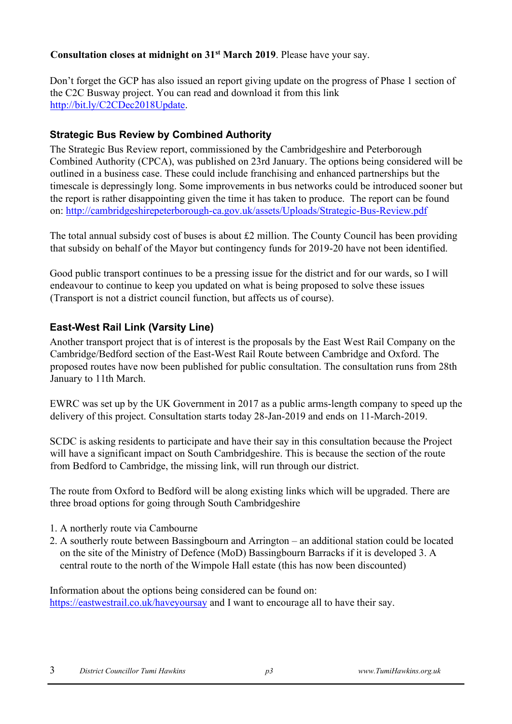# **Consultation closes at midnight on 31st March 2019**. Please have your say.

Don't forget the GCP has also issued an report giving update on the progress of Phase 1 section of the C2C Busway project. You can read and download it from this link [http://bit.ly/C2CDec2018Update.](http://bit.ly/C2CDec2018Update) 

# **Strategic Bus Review by Combined Authority**

The Strategic Bus Review report, commissioned by the Cambridgeshire and Peterborough Combined Authority (CPCA), was published on 23rd January. The options being considered will be outlined in a business case. These could include franchising and enhanced partnerships but the timescale is depressingly long. Some improvements in bus networks could be introduced sooner but the report is rather disappointing given the time it has taken to produce. The report can be found on:<http://cambridgeshirepeterborough-ca.gov.uk/assets/Uploads/Strategic-Bus-Review.pdf>

The total annual subsidy cost of buses is about  $\pounds 2$  million. The County Council has been providing that subsidy on behalf of the Mayor but contingency funds for 2019-20 have not been identified.

Good public transport continues to be a pressing issue for the district and for our wards, so I will endeavour to continue to keep you updated on what is being proposed to solve these issues (Transport is not a district council function, but affects us of course).

# **East-West Rail Link (Varsity Line)**

Another transport project that is of interest is the proposals by the East West Rail Company on the Cambridge/Bedford section of the East-West Rail Route between Cambridge and Oxford. The proposed routes have now been published for public consultation. The consultation runs from 28th January to 11th March.

EWRC was set up by the UK Government in 2017 as a public arms-length company to speed up the delivery of this project. Consultation starts today 28-Jan-2019 and ends on 11-March-2019.

SCDC is asking residents to participate and have their say in this consultation because the Project will have a significant impact on South Cambridgeshire. This is because the section of the route from Bedford to Cambridge, the missing link, will run through our district.

The route from Oxford to Bedford will be along existing links which will be upgraded. There are three broad options for going through South Cambridgeshire

- 1. A northerly route via Cambourne
- 2. A southerly route between Bassingbourn and Arrington an additional station could be located on the site of the Ministry of Defence (MoD) Bassingbourn Barracks if it is developed 3. A central route to the north of the Wimpole Hall estate (this has now been discounted)

Information about the options being considered can be found on: <https://eastwestrail.co.uk/haveyoursay> and I want to encourage all to have their say.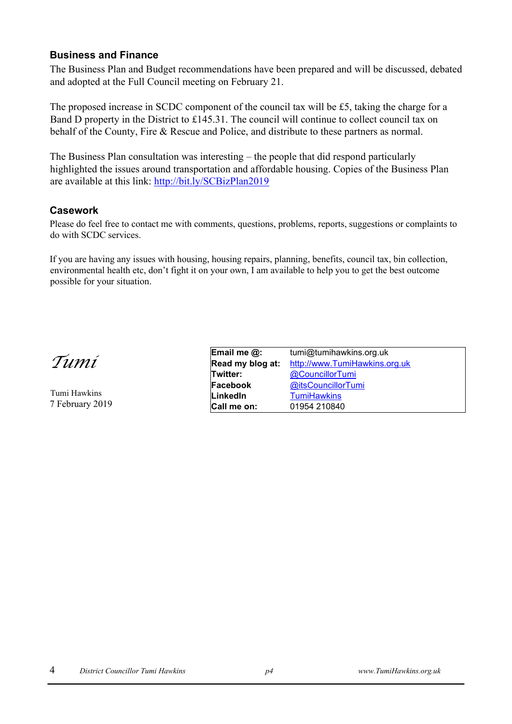### **Business and Finance**

The Business Plan and Budget recommendations have been prepared and will be discussed, debated and adopted at the Full Council meeting on February 21.

The proposed increase in SCDC component of the council tax will be £5, taking the charge for a Band D property in the District to £145.31. The council will continue to collect council tax on behalf of the County, Fire & Rescue and Police, and distribute to these partners as normal.

The Business Plan consultation was interesting – the people that did respond particularly highlighted the issues around transportation and affordable housing. Copies of the Business Plan are available at this link:<http://bit.ly/SCBizPlan2019>

### **Casework**

Please do feel free to contact me with comments, questions, problems, reports, suggestions or complaints to do with SCDC services.

If you are having any issues with housing, housing repairs, planning, benefits, council tax, bin collection, environmental health etc, don't fight it on your own, I am available to help you to get the best outcome possible for your situation.

*Tumi* 

Tumi Hawkins 7 February 2019

| Email me @:      | tumi@tumihawkins.org.uk       |
|------------------|-------------------------------|
| Read my blog at: | http://www.TumiHawkins.org.uk |
| Twitter:         | @CouncillorTumi               |
| Facebook         | @itsCouncillorTumi            |
| LinkedIn         | <b>TumiHawkins</b>            |
| Call me on:      | 01954 210840                  |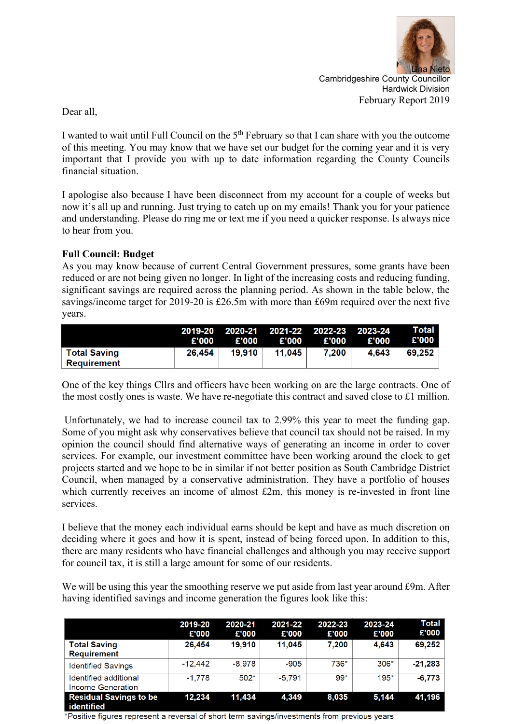

Cambridgeshire County Councillor Hardwick Division February Report 2019

Dear all,

I wanted to wait until Full Council on the 5th February so that I can share with you the outcome of this meeting. You may know that we have set our budget for the coming year and it is very important that I provide you with up to date information regarding the County Councils financial situation.

I apologise also because I have been disconnect from my account for a couple of weeks but now it's all up and running. Just trying to catch up on my emails! Thank you for your patience and understanding. Please do ring me or text me if you need a quicker response. Is always nice to hear from you.

### **Full Council: Budget**

As you may know because of current Central Government pressures, some grants have been reduced or are not being given no longer. In light of the increasing costs and reducing funding, significant savings are required across the planning period. As shown in the table below, the savings/income target for 2019-20 is £26.5m with more than £69m required over the next five years.

|                                 | £'000  | £'000  | £'000  | 2019-20 2020-21 2021-22 2022-23 2023-24<br>£'000 | £'000 | Total I<br>£'000 |
|---------------------------------|--------|--------|--------|--------------------------------------------------|-------|------------------|
| ∣ Total Savinɑ<br>∣ Reauirement | 26.454 | 19.910 | 11.045 | 7.200                                            | 4.643 | 69.252           |

One of the key things Cllrs and officers have been working on are the large contracts. One of the most costly ones is waste. We have re-negotiate this contract and saved close to £1 million.

Unfortunately, we had to increase council tax to 2.99% this year to meet the funding gap. Some of you might ask why conservatives believe that council tax should not be raised. In my opinion the council should find alternative ways of generating an income in order to cover services. For example, our investment committee have been working around the clock to get projects started and we hope to be in similar if not better position as South Cambridge District Council, when managed by a conservative administration. They have a portfolio of houses which currently receives an income of almost  $£2m$ , this money is re-invested in front line services.

I believe that the money each individual earns should be kept and have as much discretion on deciding where it goes and how it is spent, instead of being forced upon. In addition to this, there are many residents who have financial challenges and although you may receive support for council tax, it is still a large amount for some of our residents.

We will be using this year the smoothing reserve we put aside from last year around £9m. After having identified savings and income generation the figures look like this:

|                                                                        | 2019-20<br>£'000 | 2020-21<br>£'000 | 2021-22<br>£'000 | 2022-23<br>£'000 | 2023-24<br>£'000 | Total<br>£'000 |
|------------------------------------------------------------------------|------------------|------------------|------------------|------------------|------------------|----------------|
| <b>Total Saving</b><br><b>Requirement</b>                              | 26,454           | 19.910           | 11,045           | 7.200            | 4,643            | 69,252         |
| <b>Identified Savings</b>                                              | $-12.442$        | $-8.978$         | $-905$           | 736*             | $306*$           | $-21.283$      |
| Identified additional<br>Income Generation                             | $-1.778$         | $502*$           | $-5.791$         | $99*$            | $195*$           | $-6,773$       |
| <b>Residual Savings to be</b><br>and a contract of the contract of the | 12,234           | 11.434           | 4,349            | 8,035            | 5,144            | 41.196         |

\*Positive figures represent a reversal of short term savings/investments from previous years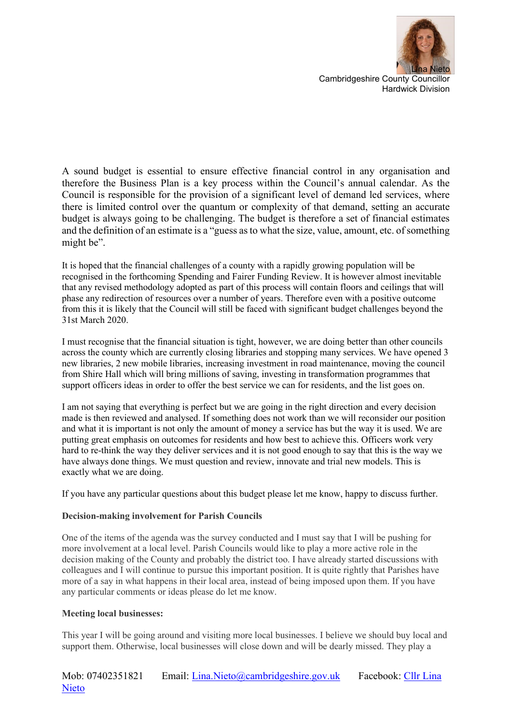

A sound budget is essential to ensure effective financial control in any organisation and therefore the Business Plan is a key process within the Council's annual calendar. As the Council is responsible for the provision of a significant level of demand led services, where there is limited control over the quantum or complexity of that demand, setting an accurate budget is always going to be challenging. The budget is therefore a set of financial estimates and the definition of an estimate is a "guess as to what the size, value, amount, etc. of something might be".

It is hoped that the financial challenges of a county with a rapidly growing population will be recognised in the forthcoming Spending and Fairer Funding Review. It is however almost inevitable that any revised methodology adopted as part of this process will contain floors and ceilings that will phase any redirection of resources over a number of years. Therefore even with a positive outcome from this it is likely that the Council will still be faced with significant budget challenges beyond the 31st March 2020.

I must recognise that the financial situation is tight, however, we are doing better than other councils across the county which are currently closing libraries and stopping many services. We have opened 3 new libraries, 2 new mobile libraries, increasing investment in road maintenance, moving the council from Shire Hall which will bring millions of saving, investing in transformation programmes that support officers ideas in order to offer the best service we can for residents, and the list goes on.

I am not saying that everything is perfect but we are going in the right direction and every decision made is then reviewed and analysed. If something does not work than we will reconsider our position and what it is important is not only the amount of money a service has but the way it is used. We are putting great emphasis on outcomes for residents and how best to achieve this. Officers work very hard to re-think the way they deliver services and it is not good enough to say that this is the way we have always done things. We must question and review, innovate and trial new models. This is exactly what we are doing.

If you have any particular questions about this budget please let me know, happy to discuss further.

#### **Decision-making involvement for Parish Councils**

One of the items of the agenda was the survey conducted and I must say that I will be pushing for more involvement at a local level. Parish Councils would like to play a more active role in the decision making of the County and probably the district too. I have already started discussions with colleagues and I will continue to pursue this important position. It is quite rightly that Parishes have more of a say in what happens in their local area, instead of being imposed upon them. If you have any particular comments or ideas please do let me know.

#### **Meeting local businesses:**

This year I will be going around and visiting more local businesses. I believe we should buy local and support them. Otherwise, local businesses will close down and will be dearly missed. They play a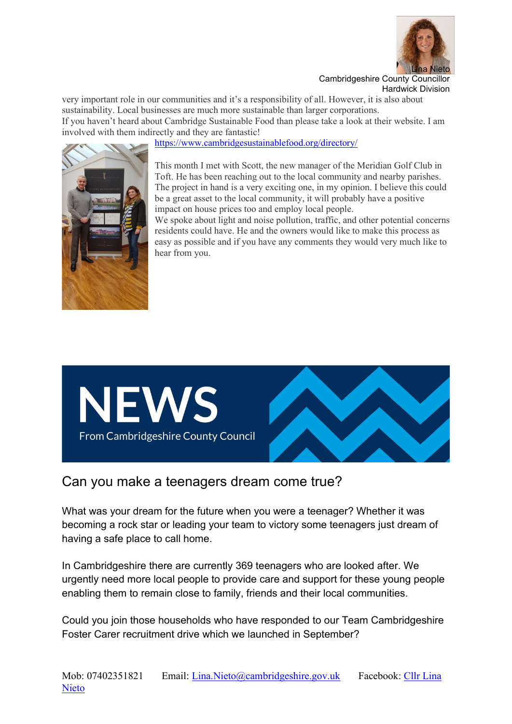

very important role in our communities and it's a responsibility of all. However, it is also about sustainability. Local businesses are much more sustainable than larger corporations. If you haven't heard about Cambridge Sustainable Food than please take a look at their website. I am involved with them indirectly and they are fantastic!

<https://www.cambridgesustainablefood.org/directory/>



This month I met with Scott, the new manager of the Meridian Golf Club in Toft. He has been reaching out to the local community and nearby parishes. The project in hand is a very exciting one, in my opinion. I believe this could be a great asset to the local community, it will probably have a positive impact on house prices too and employ local people.

We spoke about light and noise pollution, traffic, and other potential concerns residents could have. He and the owners would like to make this process as easy as possible and if you have any comments they would very much like to hear from you.



# Can you make a teenagers dream come true?

What was your dream for the future when you were a teenager? Whether it was becoming a rock star or leading your team to victory some teenagers just dream of having a safe place to call home.

In Cambridgeshire there are currently 369 teenagers who are looked after. We urgently need more local people to provide care and support for these young people enabling them to remain close to family, friends and their local communities.

Could you join those households who have responded to our Team Cambridgeshire Foster Carer recruitment drive which we launched in September?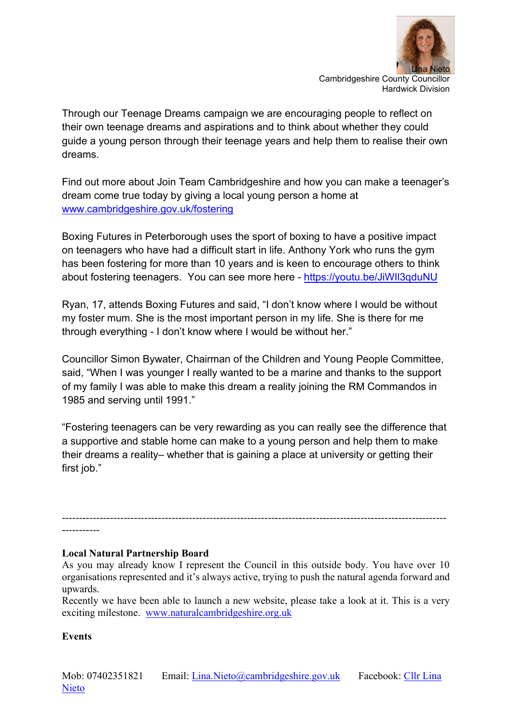

Through our Teenage Dreams campaign we are encouraging people to reflect on their own teenage dreams and aspirations and to think about whether they could guide a young person through their teenage years and help them to realise their own dreams.

Find out more about Join Team Cambridgeshire and how you can make a teenager's dream come true today by giving a local young person a home at [www.cambridgeshire.gov.uk/fostering](http://tracking.vuelio.co.uk/tracking/click?d=wC2SqEYuegF_90_qYkz6Dfkk7egERdDhYzP40iOdTT7YvaLnTOLF9FT_hFXLP6ikr2sr1EeDMF_nqLxKlDoo8vYzL8AIfo_l-N1Ybo60_-ORze1pNLuUI8Uk5yLPR_gCazj5ISVxJ-yB5QcKiwxn84I1)

Boxing Futures in Peterborough uses the sport of boxing to have a positive impact on teenagers who have had a difficult start in life. Anthony York who runs the gym has been fostering for more than 10 years and is keen to encourage others to think about fostering teenagers. You can see more here - https://youtu.be/JiWII3qduNU

Ryan, 17, attends Boxing Futures and said, "I don't know where I would be without my foster mum. She is the most important person in my life. She is there for me through everything - I don't know where I would be without her."

Councillor Simon Bywater, Chairman of the Children and Young People Committee, said, "When I was younger I really wanted to be a marine and thanks to the support of my family I was able to make this dream a reality joining the RM Commandos in 1985 and serving until 1991."

"Fostering teenagers can be very rewarding as you can really see the difference that a supportive and stable home can make to a young person and help them to make their dreams a reality– whether that is gaining a place at university or getting their first job."

-----------

### **Local Natural Partnership Board**

As you may already know I represent the Council in this outside body. You have over 10 organisations represented and it's always active, trying to push the natural agenda forward and upwards.

----------------------------------------------------------------------------------------------------------------

Recently we have been able to launch a new website, please take a look at it. This is a very exciting milestone. [www.naturalcambridgeshire.org.uk](http://www.naturalcambridgeshire.org.uk/)

### **Events**